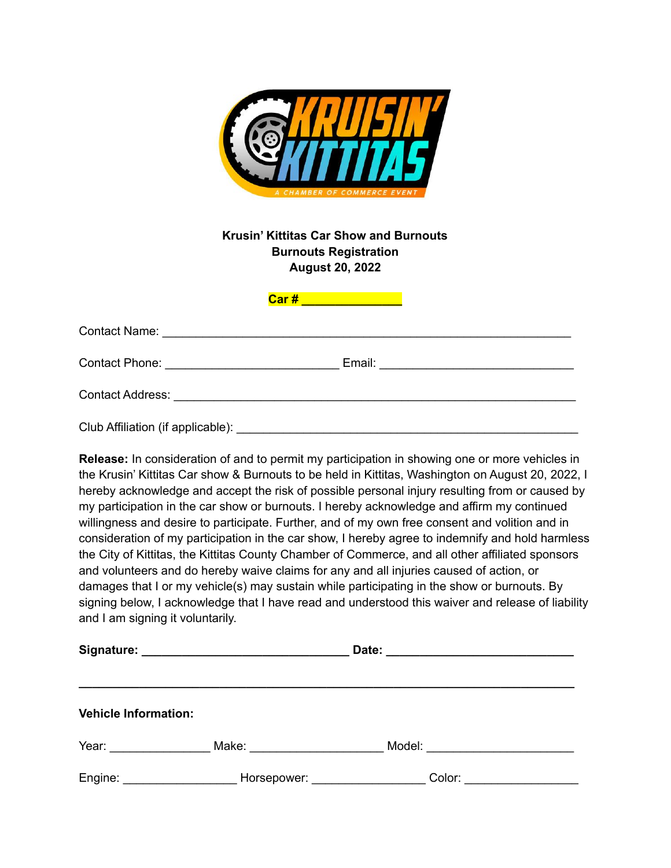

## **Krusin' Kittitas Car Show and Burnouts Burnouts Registration August 20, 2022**

| Club Affiliation (if applicable): |  |
|-----------------------------------|--|

**Car # \_\_\_\_\_\_\_\_\_\_\_\_\_\_\_**

**Release:** In consideration of and to permit my participation in showing one or more vehicles in the Krusin' Kittitas Car show & Burnouts to be held in Kittitas, Washington on August 20, 2022, I hereby acknowledge and accept the risk of possible personal injury resulting from or caused by my participation in the car show or burnouts. I hereby acknowledge and affirm my continued willingness and desire to participate. Further, and of my own free consent and volition and in consideration of my participation in the car show, I hereby agree to indemnify and hold harmless the City of Kittitas, the Kittitas County Chamber of Commerce, and all other affiliated sponsors and volunteers and do hereby waive claims for any and all injuries caused of action, or damages that I or my vehicle(s) may sustain while participating in the show or burnouts. By signing below, I acknowledge that I have read and understood this waiver and release of liability and I am signing it voluntarily.

| <b>Vehicle Information:</b> |                                                                                                                                                                                                                                |                                    |  |
|-----------------------------|--------------------------------------------------------------------------------------------------------------------------------------------------------------------------------------------------------------------------------|------------------------------------|--|
| Year: William March 2014    |                                                                                                                                                                                                                                | Model: ___________________________ |  |
| Engine: ___________________ | Horsepower: National Property of the Marian Company of the Marian Company of the Marian Company of the Marian Company of the Marian Company of the Marian Company of the Marian Company of the Marian Company of the Marian Co |                                    |  |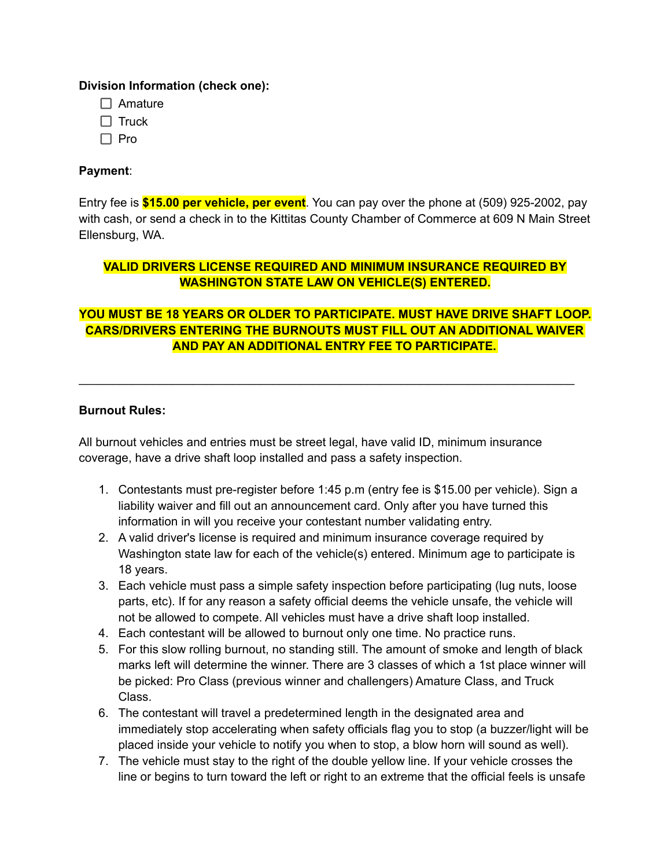### **Division Information (check one):**

- $\Box$  Amature
- $\Box$  Truck
- $\Box$  Pro

## **Payment**:

Entry fee is **\$15.00 per vehicle, per event**. You can pay over the phone at (509) 925-2002, pay with cash, or send a check in to the Kittitas County Chamber of Commerce at 609 N Main Street Ellensburg, WA.

# **VALID DRIVERS LICENSE REQUIRED AND MINIMUM INSURANCE REQUIRED BY WASHINGTON STATE LAW ON VEHICLE(S) ENTERED.**

# **YOU MUST BE 18 YEARS OR OLDER TO PARTICIPATE. MUST HAVE DRIVE SHAFT LOOP. CARS/DRIVERS ENTERING THE BURNOUTS MUST FILL OUT AN ADDITIONAL WAIVER AND PAY AN ADDITIONAL ENTRY FEE TO PARTICIPATE.**

\_\_\_\_\_\_\_\_\_\_\_\_\_\_\_\_\_\_\_\_\_\_\_\_\_\_\_\_\_\_\_\_\_\_\_\_\_\_\_\_\_\_\_\_\_\_\_\_\_\_\_\_\_\_\_\_\_\_\_\_\_\_\_\_\_\_\_\_\_\_\_\_\_\_

### **Burnout Rules:**

All burnout vehicles and entries must be street legal, have valid ID, minimum insurance coverage, have a drive shaft loop installed and pass a safety inspection.

- 1. Contestants must pre-register before 1:45 p.m (entry fee is \$15.00 per vehicle). Sign a liability waiver and fill out an announcement card. Only after you have turned this information in will you receive your contestant number validating entry.
- 2. A valid driver's license is required and minimum insurance coverage required by Washington state law for each of the vehicle(s) entered. Minimum age to participate is 18 years.
- 3. Each vehicle must pass a simple safety inspection before participating (lug nuts, loose parts, etc). If for any reason a safety official deems the vehicle unsafe, the vehicle will not be allowed to compete. All vehicles must have a drive shaft loop installed.
- 4. Each contestant will be allowed to burnout only one time. No practice runs.
- 5. For this slow rolling burnout, no standing still. The amount of smoke and length of black marks left will determine the winner. There are 3 classes of which a 1st place winner will be picked: Pro Class (previous winner and challengers) Amature Class, and Truck Class.
- 6. The contestant will travel a predetermined length in the designated area and immediately stop accelerating when safety officials flag you to stop (a buzzer/light will be placed inside your vehicle to notify you when to stop, a blow horn will sound as well).
- 7. The vehicle must stay to the right of the double yellow line. If your vehicle crosses the line or begins to turn toward the left or right to an extreme that the official feels is unsafe